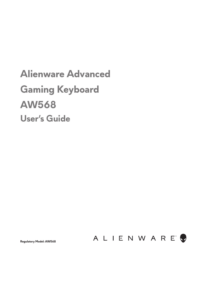# **Alienware Advanced Gaming Keyboard AW568 User's Guide**



**Regulatory Model: AW568**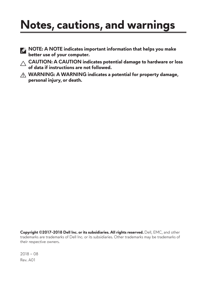# **Notes, cautions, and warnings**

- **NOTE: A NOTE indicates important information that helps you make better use of your computer.**
- **CAUTION: A CAUTION indicates potential damage to hardware or loss of data if instructions are not followed.**
- **WARNING: A WARNING indicates a potential for property damage, personal injury, or death.**

**Copyright ©2017-2018 Dell Inc. or its subsidiaries. All rights reserved.** Dell, EMC, and other trademarks are trademarks of Dell Inc. or its subsidiaries. Other trademarks may be trademarks of their respective owners.

2018 – 08 Rev. A01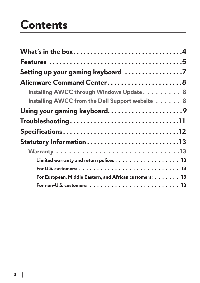# **Contents**

| What's in the box4                                      |  |
|---------------------------------------------------------|--|
|                                                         |  |
| Setting up your gaming keyboard 7                       |  |
| Alienware Command Center8                               |  |
| Installing AWCC through Windows Update. 8               |  |
| Installing AWCC from the Dell Support website 8         |  |
| Using your gaming keyboard9                             |  |
|                                                         |  |
|                                                         |  |
|                                                         |  |
|                                                         |  |
|                                                         |  |
|                                                         |  |
| For European, Middle Eastern, and African customers: 13 |  |
|                                                         |  |

\_\_\_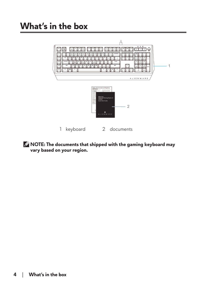<span id="page-3-0"></span>

1 keyboard 2 documents

**NOTE: The documents that shipped with the gaming keyboard may vary based on your region.**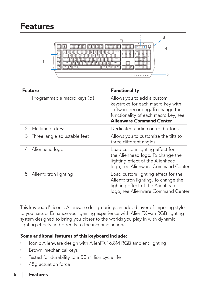<span id="page-4-0"></span>

| Feature                          | <b>Functionality</b>                                                                                                                                                     |
|----------------------------------|--------------------------------------------------------------------------------------------------------------------------------------------------------------------------|
| Programmable macro keys (5)      | Allows you to add a custom<br>keystroke for each macro key with<br>software recording. To change the<br>functionality of each macro key, see<br>Alienware Command Center |
| Multimedia keys                  | Dedicated audio control buttons.                                                                                                                                         |
| 3<br>Three-angle adjustable feet | Allows you to customize the tilts to<br>three different angles.                                                                                                          |
| Alienhead logo                   | Load custom lighting effect for<br>the Alienhead logo. To change the<br>lighting effect of the Alienhead<br>logo, see Alienware Command Center.                          |
| 5 Alienfx tron lighting          | Load custom lighting effect for the<br>Alienfx tron lighting. To change the<br>lighting effect of the Alienhead<br>logo, see Alienware Command Center.                   |

This keyboard's iconic Alienware design brings an added layer of imposing style to your setup. Enhance your gaming experience with AlienFX –an RGB lighting system designed to bring you closer to the worlds you play in with dynamic lighting effects tied directly to the in-game action.

### **Some additonal features of this keyboard include:**

- Iconic Alienware design with AlienFX 16.8M RGB ambient lighting
- Brown-mechanical keys
- Tested for durability to a 50 million cycle life
- 45g actuation force

#### **5** │ **Features**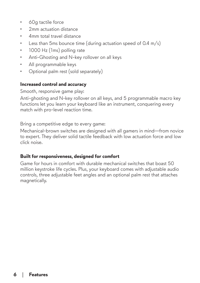- 60g tactile force
- 2mm actuation distance
- 4mm total travel distance
- Less than 5ms bounce time (during actuation speed of  $0.4 \text{ m/s}$ )
- 1000 Hz (1ms) polling rate
- Anti-Ghosting and N-key rollover on all keys
- All programmable keys
- Optional palm rest (sold separately)

### **Increased control and accuracy**

Smooth, responsive game play:

Anti-ghosting and N-key rollover on all keys, and 5 programmable macro key functions let you learn your keyboard like an instrument, conquering every match with pro-level reaction time.

Bring a competitive edge to every game:

Mechanical-brown switches are designed with all gamers in mind—from novice to expert. They deliver solid tactile feedback with low actuation force and low click noise.

#### **Built for responsiveness, designed for comfort**

Game for hours in comfort with durable mechanical switches that boast 50 million keystroke life cycles. Plus, your keyboard comes with adjustable audio controls, three adjustable feet angles and an optional palm rest that attaches magnetically.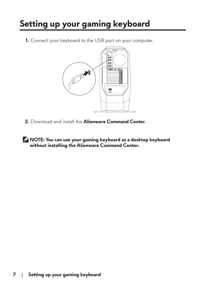## <span id="page-6-0"></span>**Setting up your gaming keyboard**

**1.** Connect your keyboard to the USB port on your computer.



- **2.** Download and install the **Alienware Command Center**.
- **NOTE: You can use your gaming keyboard as a desktop keyboard without installing the Alienware Command Center.**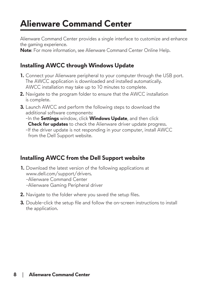## <span id="page-7-0"></span>**Alienware Command Center**

Alienware Command Center provides a single interface to customize and enhance the gaming experience.

**Note**: For more information, see Alienware Command Center Online Help.

### **Installing AWCC through Windows Update**

- **1.** Connect your Alienware peripheral to your computer through the USB port. The AWCC application is downloaded and installed automatically. AWCC installation may take up to 10 minutes to complete.
- **2.** Navigate to the program folder to ensure that the AWCC installation is complete.
- **3.** Launch AWCC and perform the following steps to download the additional software components:
	- -In the **Settings** window, click **Windows Update**, and then click  **Check for updates** to check the Alienware driver update progress.
	- -If the driver update is not responding in your computer, install AWCC from the Dell Support website.

### **Installing AWCC from the Dell Support website**

- **1.** Download the latest version of the following applications at www.dell.com/support/drivers.
	- -Alienware Command Center
	- -Alienware Gaming Peripheral driver
- **2.** Navigate to the folder where you saved the setup files.
- **3.** Double-click the setup file and follow the on-screen instructions to install the application.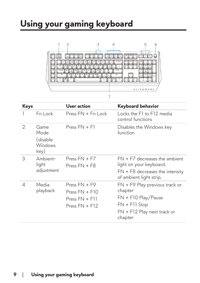### <span id="page-8-0"></span>**Using your gaming keyboard**



| Keys |                                             | User action                                                                 | <b>Keyboard behavior</b>                                                                                                          |
|------|---------------------------------------------|-----------------------------------------------------------------------------|-----------------------------------------------------------------------------------------------------------------------------------|
|      | Fn Lock                                     | Press $FN + Fn$ Lock                                                        | Locks the F1 to F12 media<br>control functions                                                                                    |
| 2    | Game<br>Mode<br>(disable<br>Windows<br>key) | Press $FN + F1$                                                             | Disables the Windows key<br>function                                                                                              |
| 3    | Ambient-<br>light<br>adjustment             | Press $FN + F7$<br>Press $FN + F8$                                          | $FN + F7$ decreases the ambient<br>light on your keyboard.<br>$FN + F8$ decreases the intensity<br>of ambient light strip.        |
| 4    | Media<br>playback                           | Press $FN + F9$<br>Press $FN + F10$<br>Press $FN + F11$<br>Press $FN + F12$ | FN + F9 Play previous track or<br>chapter<br>$FN + F10$ Play/Pause<br>$FN + F11$ Stop<br>$FN + F12$ Play next track or<br>chapter |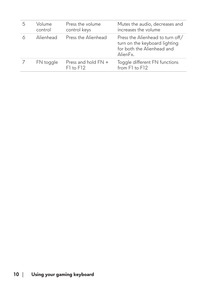| Volume<br>control | Press the volume<br>control keys     | Mutes the audio, decreases and<br>increases the volume                                                      |
|-------------------|--------------------------------------|-------------------------------------------------------------------------------------------------------------|
| Alienhead         | Press the Alienhead                  | Press the Alienhead to turn off/<br>turn on the keyboard lighting<br>for both the Alienhead and<br>AlienFx. |
| FN toggle         | Press and hold FN +<br>$F1$ to $F12$ | Toggle different FN functions<br>from F1 to F12                                                             |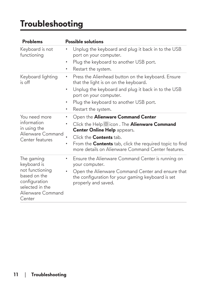### <span id="page-10-0"></span>**Troubleshooting**

| <b>Problems</b>                                                                                    | <b>Possible solutions</b>                                                                                                                              |
|----------------------------------------------------------------------------------------------------|--------------------------------------------------------------------------------------------------------------------------------------------------------|
| Keyboard is not<br>functioning                                                                     | Unplug the keyboard and plug it back in to the USB<br>port on your computer.                                                                           |
|                                                                                                    | Plug the keyboard to another USB port.<br>٠<br>Restart the system.<br>٠                                                                                |
| Keyboard lighting<br>is off                                                                        | Press the Alienhead button on the keyboard. Ensure<br>٠<br>that the light is on on the keyboard.<br>Unplug the keyboard and plug it back in to the USB |
|                                                                                                    | port on your computer.                                                                                                                                 |
|                                                                                                    | Plug the keyboard to another USB port.<br>٠                                                                                                            |
|                                                                                                    | Restart the system.<br>٠                                                                                                                               |
| You need more                                                                                      | Open the Alienware Command Center<br>٠                                                                                                                 |
| information<br>in using the                                                                        | Click the Help <sup>1</sup> icon. The Alienware Command<br><b>Center Online Help</b> appears.                                                          |
| Alienware Command<br>Center features                                                               | Click the <b>Contents</b> tab.                                                                                                                         |
|                                                                                                    | From the <b>Contents</b> tab, click the required topic to find<br>٠<br>more details on Alienware Command Center features.                              |
| The gaming<br>keyboard is                                                                          | Ensure the Alienware Command Center is running on<br>٠<br>your computer.                                                                               |
| not functioning<br>based on the<br>configuration<br>selected in the<br>Alienware Command<br>Center | Open the Alienware Command Center and ensure that<br>٠<br>the configuration for your gaming keyboard is set<br>properly and saved.                     |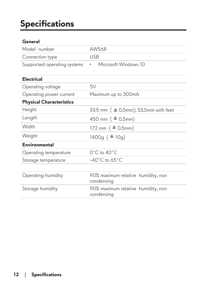## <span id="page-11-0"></span>**Specifications**

### **General**

| Model number                    | AW568                                            |
|---------------------------------|--------------------------------------------------|
| Connection type                 | <b>USB</b>                                       |
| Supported operating systems     | Microsoft Windows 10<br>٠                        |
| <b>Electrical</b>               |                                                  |
| Operating voltage               | 5V                                               |
| Operating power current         | Maximum up to 300mA                              |
| <b>Physical Characteristics</b> |                                                  |
| Height                          | 33.5 mm $($ $\pm$ 0.5mm); 53.5mm with feet       |
| Length                          | 450 mm ( $\pm$ 0.5mm)                            |
| Width                           | 172 mm $($ $\pm$ 0.5mm)                          |
| Weight                          | $1400g ( \pm 10g)$                               |
| <b>Environmental</b>            |                                                  |
| Operating temperature           | 0°C to 40°C                                      |
| Storage temperature             | $-40^{\circ}$ C to 65 $^{\circ}$ C               |
|                                 |                                                  |
| Operating humidity              | 90% maximum relative humidity, non<br>condensing |
| Storage humidity                | 90% maximum relative humidity, non<br>condensing |